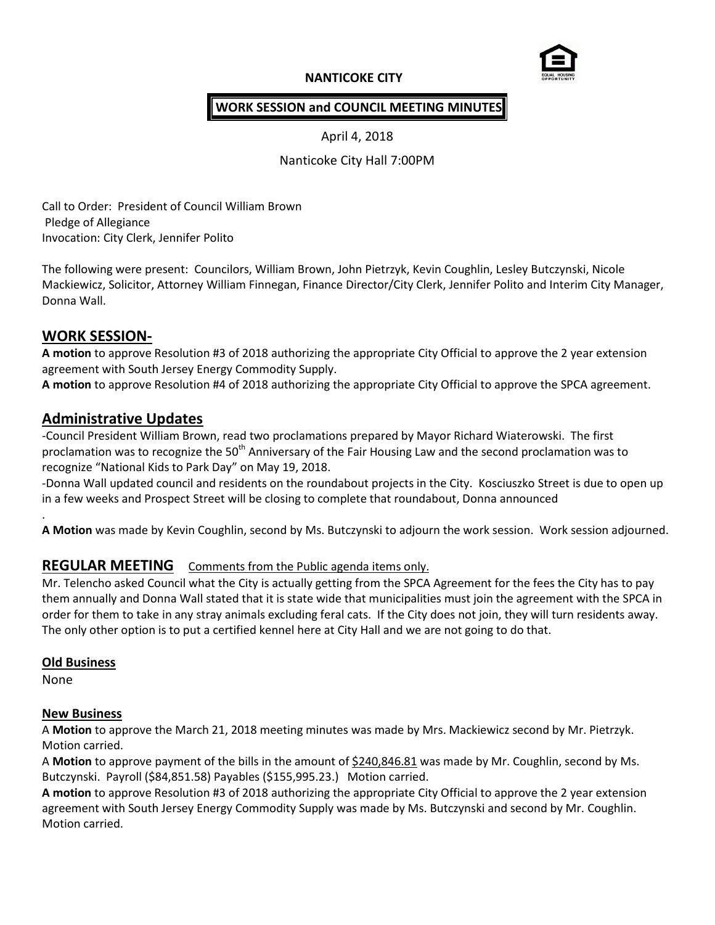# **NANTICOKE CITY**



## **WORK SESSION and COUNCIL MEETING MINUTES**

April 4, 2018

Nanticoke City Hall 7:00PM

Call to Order: President of Council William Brown Pledge of Allegiance Invocation: City Clerk, Jennifer Polito

The following were present: Councilors, William Brown, John Pietrzyk, Kevin Coughlin, Lesley Butczynski, Nicole Mackiewicz, Solicitor, Attorney William Finnegan, Finance Director/City Clerk, Jennifer Polito and Interim City Manager, Donna Wall.

## **WORK SESSION-**

**A motion** to approve Resolution #3 of 2018 authorizing the appropriate City Official to approve the 2 year extension agreement with South Jersey Energy Commodity Supply.

**A motion** to approve Resolution #4 of 2018 authorizing the appropriate City Official to approve the SPCA agreement.

# **Administrative Updates**

-Council President William Brown, read two proclamations prepared by Mayor Richard Wiaterowski. The first proclamation was to recognize the 50<sup>th</sup> Anniversary of the Fair Housing Law and the second proclamation was to recognize "National Kids to Park Day" on May 19, 2018.

-Donna Wall updated council and residents on the roundabout projects in the City. Kosciuszko Street is due to open up in a few weeks and Prospect Street will be closing to complete that roundabout, Donna announced

**A Motion** was made by Kevin Coughlin, second by Ms. Butczynski to adjourn the work session. Work session adjourned.

### **REGULAR MEETING** Comments from the Public agenda items only.

Mr. Telencho asked Council what the City is actually getting from the SPCA Agreement for the fees the City has to pay them annually and Donna Wall stated that it is state wide that municipalities must join the agreement with the SPCA in order for them to take in any stray animals excluding feral cats. If the City does not join, they will turn residents away. The only other option is to put a certified kennel here at City Hall and we are not going to do that.

### **Old Business**

None

.

### **New Business**

A **Motion** to approve the March 21, 2018 meeting minutes was made by Mrs. Mackiewicz second by Mr. Pietrzyk. Motion carried.

A **Motion** to approve payment of the bills in the amount of \$240,846.81 was made by Mr. Coughlin, second by Ms. Butczynski. Payroll (\$84,851.58) Payables (\$155,995.23.) Motion carried.

**A motion** to approve Resolution #3 of 2018 authorizing the appropriate City Official to approve the 2 year extension agreement with South Jersey Energy Commodity Supply was made by Ms. Butczynski and second by Mr. Coughlin. Motion carried.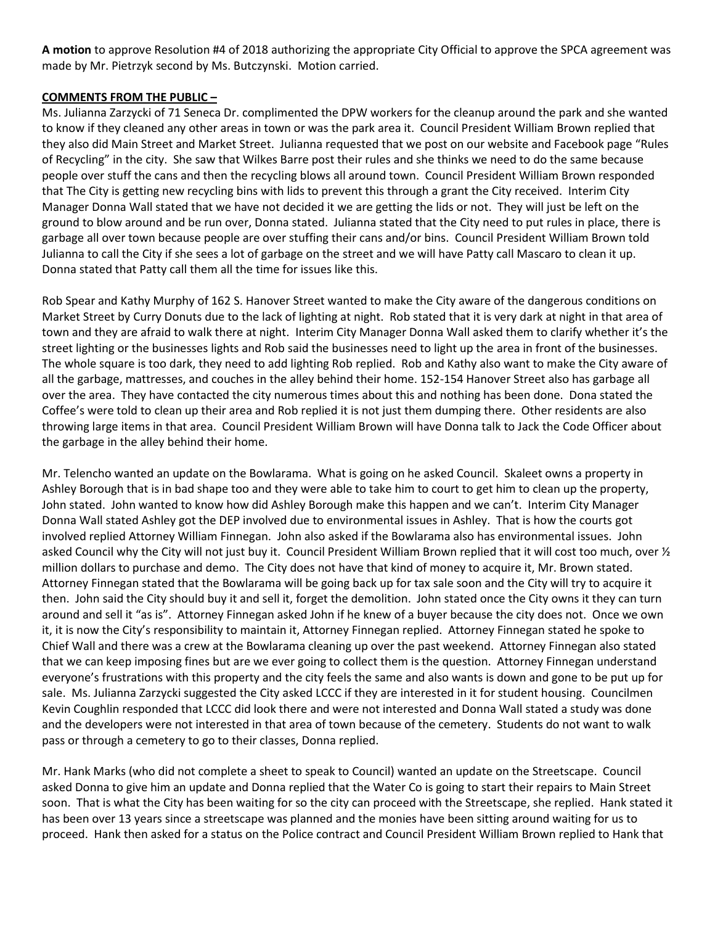**A motion** to approve Resolution #4 of 2018 authorizing the appropriate City Official to approve the SPCA agreement was made by Mr. Pietrzyk second by Ms. Butczynski. Motion carried.

### **COMMENTS FROM THE PUBLIC –**

Ms. Julianna Zarzycki of 71 Seneca Dr. complimented the DPW workers for the cleanup around the park and she wanted to know if they cleaned any other areas in town or was the park area it. Council President William Brown replied that they also did Main Street and Market Street. Julianna requested that we post on our website and Facebook page "Rules of Recycling" in the city. She saw that Wilkes Barre post their rules and she thinks we need to do the same because people over stuff the cans and then the recycling blows all around town. Council President William Brown responded that The City is getting new recycling bins with lids to prevent this through a grant the City received. Interim City Manager Donna Wall stated that we have not decided it we are getting the lids or not. They will just be left on the ground to blow around and be run over, Donna stated. Julianna stated that the City need to put rules in place, there is garbage all over town because people are over stuffing their cans and/or bins. Council President William Brown told Julianna to call the City if she sees a lot of garbage on the street and we will have Patty call Mascaro to clean it up. Donna stated that Patty call them all the time for issues like this.

Rob Spear and Kathy Murphy of 162 S. Hanover Street wanted to make the City aware of the dangerous conditions on Market Street by Curry Donuts due to the lack of lighting at night. Rob stated that it is very dark at night in that area of town and they are afraid to walk there at night. Interim City Manager Donna Wall asked them to clarify whether it's the street lighting or the businesses lights and Rob said the businesses need to light up the area in front of the businesses. The whole square is too dark, they need to add lighting Rob replied. Rob and Kathy also want to make the City aware of all the garbage, mattresses, and couches in the alley behind their home. 152-154 Hanover Street also has garbage all over the area. They have contacted the city numerous times about this and nothing has been done. Dona stated the Coffee's were told to clean up their area and Rob replied it is not just them dumping there. Other residents are also throwing large items in that area. Council President William Brown will have Donna talk to Jack the Code Officer about the garbage in the alley behind their home.

Mr. Telencho wanted an update on the Bowlarama. What is going on he asked Council. Skaleet owns a property in Ashley Borough that is in bad shape too and they were able to take him to court to get him to clean up the property, John stated. John wanted to know how did Ashley Borough make this happen and we can't. Interim City Manager Donna Wall stated Ashley got the DEP involved due to environmental issues in Ashley. That is how the courts got involved replied Attorney William Finnegan. John also asked if the Bowlarama also has environmental issues. John asked Council why the City will not just buy it. Council President William Brown replied that it will cost too much, over ½ million dollars to purchase and demo. The City does not have that kind of money to acquire it, Mr. Brown stated. Attorney Finnegan stated that the Bowlarama will be going back up for tax sale soon and the City will try to acquire it then. John said the City should buy it and sell it, forget the demolition. John stated once the City owns it they can turn around and sell it "as is". Attorney Finnegan asked John if he knew of a buyer because the city does not. Once we own it, it is now the City's responsibility to maintain it, Attorney Finnegan replied. Attorney Finnegan stated he spoke to Chief Wall and there was a crew at the Bowlarama cleaning up over the past weekend. Attorney Finnegan also stated that we can keep imposing fines but are we ever going to collect them is the question. Attorney Finnegan understand everyone's frustrations with this property and the city feels the same and also wants is down and gone to be put up for sale. Ms. Julianna Zarzycki suggested the City asked LCCC if they are interested in it for student housing. Councilmen Kevin Coughlin responded that LCCC did look there and were not interested and Donna Wall stated a study was done and the developers were not interested in that area of town because of the cemetery. Students do not want to walk pass or through a cemetery to go to their classes, Donna replied.

Mr. Hank Marks (who did not complete a sheet to speak to Council) wanted an update on the Streetscape. Council asked Donna to give him an update and Donna replied that the Water Co is going to start their repairs to Main Street soon. That is what the City has been waiting for so the city can proceed with the Streetscape, she replied. Hank stated it has been over 13 years since a streetscape was planned and the monies have been sitting around waiting for us to proceed. Hank then asked for a status on the Police contract and Council President William Brown replied to Hank that